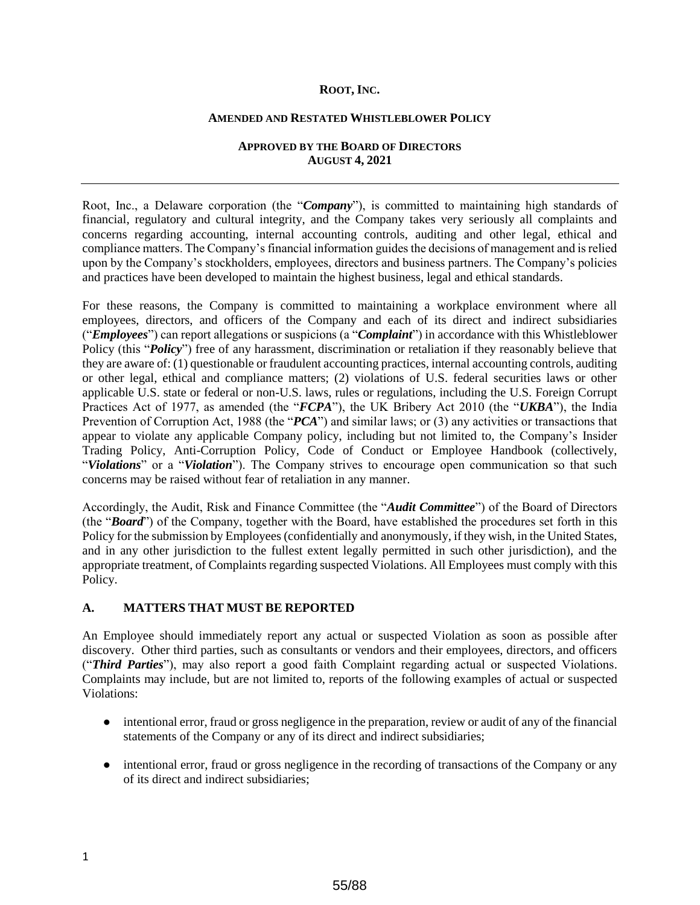#### **ROOT, INC.**

#### **AMENDED AND RESTATED WHISTLEBLOWER POLICY**

#### **APPROVED BY THE BOARD OF DIRECTORS AUGUST 4, 2021**

Root, Inc., a Delaware corporation (the "*Company*"), is committed to maintaining high standards of financial, regulatory and cultural integrity, and the Company takes very seriously all complaints and concerns regarding accounting, internal accounting controls, auditing and other legal, ethical and compliance matters. The Company's financial information guides the decisions of management and is relied upon by the Company's stockholders, employees, directors and business partners. The Company's policies and practices have been developed to maintain the highest business, legal and ethical standards.

For these reasons, the Company is committed to maintaining a workplace environment where all employees, directors, and officers of the Company and each of its direct and indirect subsidiaries ("*Employees*") can report allegations or suspicions (a "*Complaint*") in accordance with this Whistleblower Policy (this "*Policy*") free of any harassment, discrimination or retaliation if they reasonably believe that they are aware of: (1) questionable or fraudulent accounting practices, internal accounting controls, auditing or other legal, ethical and compliance matters; (2) violations of U.S. federal securities laws or other applicable U.S. state or federal or non-U.S. laws, rules or regulations, including the U.S. Foreign Corrupt Practices Act of 1977, as amended (the "*FCPA*"), the UK Bribery Act 2010 (the "*UKBA*"), the India Prevention of Corruption Act, 1988 (the "*PCA*") and similar laws; or (3) any activities or transactions that appear to violate any applicable Company policy, including but not limited to, the Company's Insider Trading Policy, Anti-Corruption Policy, Code of Conduct or Employee Handbook (collectively, "*Violations*" or a "*Violation*"). The Company strives to encourage open communication so that such concerns may be raised without fear of retaliation in any manner.

Accordingly, the Audit, Risk and Finance Committee (the "*Audit Committee*") of the Board of Directors (the "*Board*") of the Company, together with the Board, have established the procedures set forth in this Policy for the submission by Employees (confidentially and anonymously, if they wish, in the United States, and in any other jurisdiction to the fullest extent legally permitted in such other jurisdiction), and the appropriate treatment, of Complaints regarding suspected Violations. All Employees must comply with this Policy.

### **A. MATTERS THAT MUST BE REPORTED**

An Employee should immediately report any actual or suspected Violation as soon as possible after discovery. Other third parties, such as consultants or vendors and their employees, directors, and officers ("*Third Parties*"), may also report a good faith Complaint regarding actual or suspected Violations. Complaints may include, but are not limited to, reports of the following examples of actual or suspected Violations:

- intentional error, fraud or gross negligence in the preparation, review or audit of any of the financial statements of the Company or any of its direct and indirect subsidiaries;
- intentional error, fraud or gross negligence in the recording of transactions of the Company or any of its direct and indirect subsidiaries;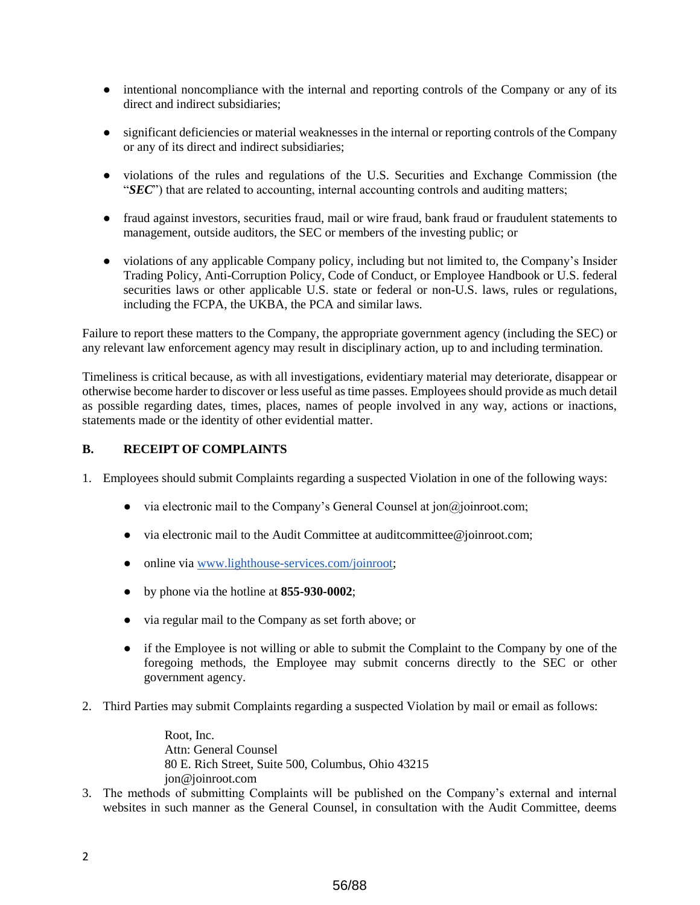- intentional noncompliance with the internal and reporting controls of the Company or any of its direct and indirect subsidiaries;
- significant deficiencies or material weaknesses in the internal or reporting controls of the Company or any of its direct and indirect subsidiaries;
- violations of the rules and regulations of the U.S. Securities and Exchange Commission (the "*SEC*") that are related to accounting, internal accounting controls and auditing matters;
- fraud against investors, securities fraud, mail or wire fraud, bank fraud or fraudulent statements to management, outside auditors, the SEC or members of the investing public; or
- violations of any applicable Company policy, including but not limited to, the Company's Insider Trading Policy, Anti-Corruption Policy, Code of Conduct, or Employee Handbook or U.S. federal securities laws or other applicable U.S. state or federal or non-U.S. laws, rules or regulations, including the FCPA, the UKBA, the PCA and similar laws.

Failure to report these matters to the Company, the appropriate government agency (including the SEC) or any relevant law enforcement agency may result in disciplinary action, up to and including termination.

Timeliness is critical because, as with all investigations, evidentiary material may deteriorate, disappear or otherwise become harder to discover or less useful as time passes. Employees should provide as much detail as possible regarding dates, times, places, names of people involved in any way, actions or inactions, statements made or the identity of other evidential matter.

# **B. RECEIPT OF COMPLAINTS**

1. Employees should submit Complaints regarding a suspected Violation in one of the following ways:

- $\bullet$  via electronic mail to the Company's General Counsel at jon@joinroot.com;
- via electronic mail to the Audit Committee at auditcommittee@joinroot.com;
- online via www.lighthouse-services.com/joinroot;
- by phone via the hotline at **855-930-0002**;
- via regular mail to the Company as set forth above; or
- if the Employee is not willing or able to submit the Complaint to the Company by one of the foregoing methods, the Employee may submit concerns directly to the SEC or other government agency.
- 2. Third Parties may submit Complaints regarding a suspected Violation by mail or email as follows:

Root, Inc. Attn: General Counsel 80 E. Rich Street, Suite 500, Columbus, Ohio 43215 jon@joinroot.com

3. The methods of submitting Complaints will be published on the Company's external and internal websites in such manner as the General Counsel, in consultation with the Audit Committee, deems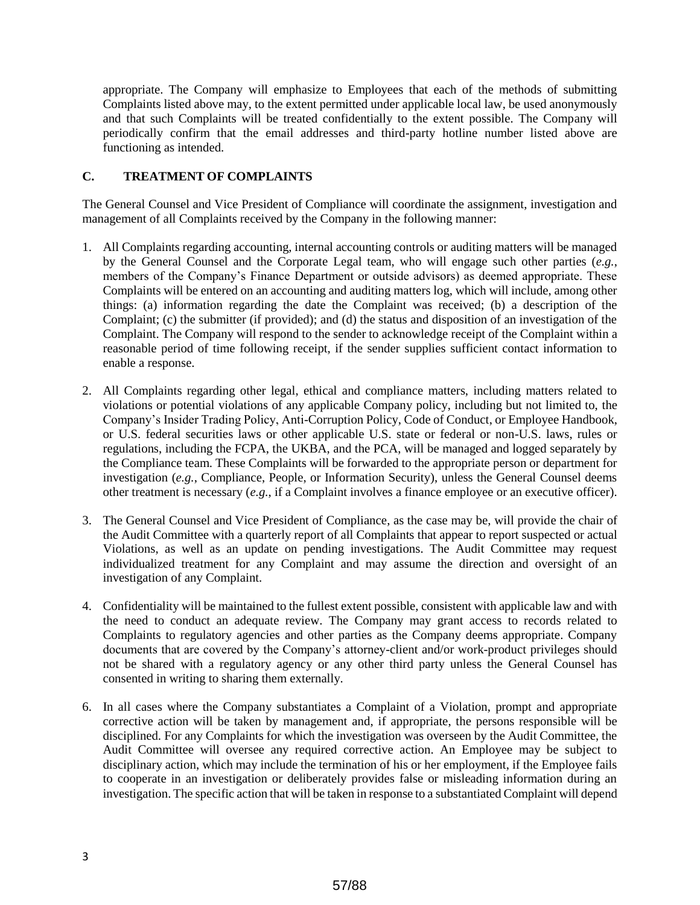appropriate. The Company will emphasize to Employees that each of the methods of submitting Complaints listed above may, to the extent permitted under applicable local law, be used anonymously and that such Complaints will be treated confidentially to the extent possible. The Company will periodically confirm that the email addresses and third-party hotline number listed above are functioning as intended.

# **C. TREATMENT OF COMPLAINTS**

The General Counsel and Vice President of Compliance will coordinate the assignment, investigation and management of all Complaints received by the Company in the following manner:

- 1. All Complaints regarding accounting, internal accounting controls or auditing matters will be managed by the General Counsel and the Corporate Legal team, who will engage such other parties (*e.g.*, members of the Company's Finance Department or outside advisors) as deemed appropriate. These Complaints will be entered on an accounting and auditing matters log, which will include, among other things: (a) information regarding the date the Complaint was received; (b) a description of the Complaint; (c) the submitter (if provided); and (d) the status and disposition of an investigation of the Complaint. The Company will respond to the sender to acknowledge receipt of the Complaint within a reasonable period of time following receipt, if the sender supplies sufficient contact information to enable a response.
- 2. All Complaints regarding other legal, ethical and compliance matters, including matters related to violations or potential violations of any applicable Company policy, including but not limited to, the Company's Insider Trading Policy, Anti-Corruption Policy, Code of Conduct, or Employee Handbook, or U.S. federal securities laws or other applicable U.S. state or federal or non-U.S. laws, rules or regulations, including the FCPA, the UKBA, and the PCA, will be managed and logged separately by the Compliance team. These Complaints will be forwarded to the appropriate person or department for investigation (*e.g.*, Compliance, People, or Information Security), unless the General Counsel deems other treatment is necessary (*e.g.*, if a Complaint involves a finance employee or an executive officer).
- 3. The General Counsel and Vice President of Compliance, as the case may be, will provide the chair of the Audit Committee with a quarterly report of all Complaints that appear to report suspected or actual Violations, as well as an update on pending investigations. The Audit Committee may request individualized treatment for any Complaint and may assume the direction and oversight of an investigation of any Complaint.
- 4. Confidentiality will be maintained to the fullest extent possible, consistent with applicable law and with the need to conduct an adequate review. The Company may grant access to records related to Complaints to regulatory agencies and other parties as the Company deems appropriate. Company documents that are covered by the Company's attorney-client and/or work-product privileges should not be shared with a regulatory agency or any other third party unless the General Counsel has consented in writing to sharing them externally.
- 6. In all cases where the Company substantiates a Complaint of a Violation, prompt and appropriate corrective action will be taken by management and, if appropriate, the persons responsible will be disciplined. For any Complaints for which the investigation was overseen by the Audit Committee, the Audit Committee will oversee any required corrective action. An Employee may be subject to disciplinary action, which may include the termination of his or her employment, if the Employee fails to cooperate in an investigation or deliberately provides false or misleading information during an investigation. The specific action that will be taken in response to a substantiated Complaint will depend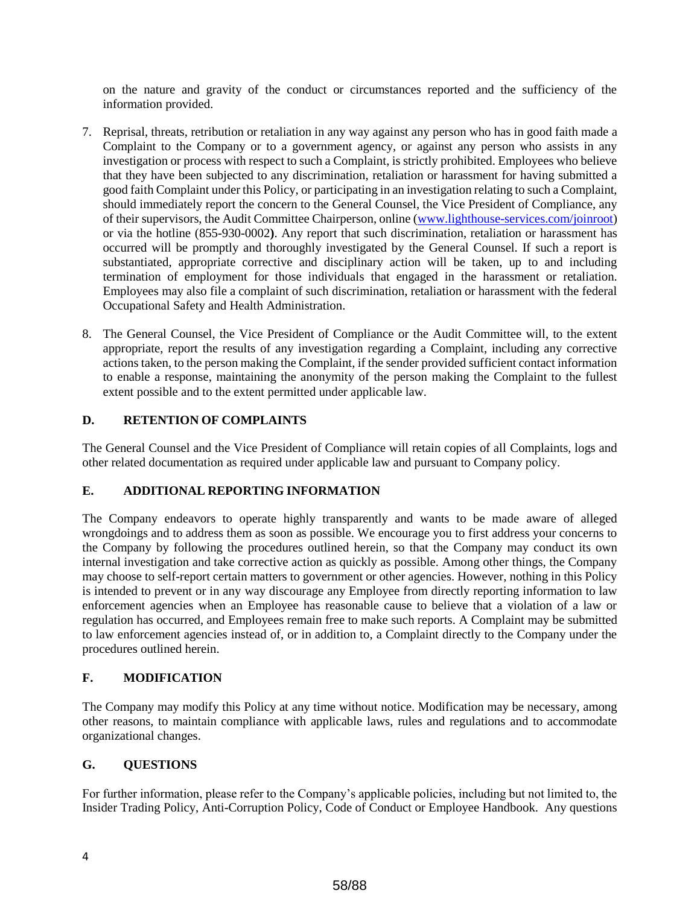on the nature and gravity of the conduct or circumstances reported and the sufficiency of the information provided.

- 7. Reprisal, threats, retribution or retaliation in any way against any person who has in good faith made a Complaint to the Company or to a government agency, or against any person who assists in any investigation or process with respect to such a Complaint, is strictly prohibited. Employees who believe that they have been subjected to any discrimination, retaliation or harassment for having submitted a good faith Complaint under this Policy, or participating in an investigation relating to such a Complaint, should immediately report the concern to the General Counsel, the Vice President of Compliance, any of their supervisors, the Audit Committee Chairperson, online (www.lighthouse-services.com/joinroot) or via the hotline (855-930-0002**)**. Any report that such discrimination, retaliation or harassment has occurred will be promptly and thoroughly investigated by the General Counsel. If such a report is substantiated, appropriate corrective and disciplinary action will be taken, up to and including termination of employment for those individuals that engaged in the harassment or retaliation. Employees may also file a complaint of such discrimination, retaliation or harassment with the federal Occupational Safety and Health Administration.
- 8. The General Counsel, the Vice President of Compliance or the Audit Committee will, to the extent appropriate, report the results of any investigation regarding a Complaint, including any corrective actions taken, to the person making the Complaint, if the sender provided sufficient contact information to enable a response, maintaining the anonymity of the person making the Complaint to the fullest extent possible and to the extent permitted under applicable law.

## **D. RETENTION OF COMPLAINTS**

The General Counsel and the Vice President of Compliance will retain copies of all Complaints, logs and other related documentation as required under applicable law and pursuant to Company policy.

# **E. ADDITIONAL REPORTING INFORMATION**

The Company endeavors to operate highly transparently and wants to be made aware of alleged wrongdoings and to address them as soon as possible. We encourage you to first address your concerns to the Company by following the procedures outlined herein, so that the Company may conduct its own internal investigation and take corrective action as quickly as possible. Among other things, the Company may choose to self-report certain matters to government or other agencies. However, nothing in this Policy is intended to prevent or in any way discourage any Employee from directly reporting information to law enforcement agencies when an Employee has reasonable cause to believe that a violation of a law or regulation has occurred, and Employees remain free to make such reports. A Complaint may be submitted to law enforcement agencies instead of, or in addition to, a Complaint directly to the Company under the procedures outlined herein.

## **F. MODIFICATION**

The Company may modify this Policy at any time without notice. Modification may be necessary, among other reasons, to maintain compliance with applicable laws, rules and regulations and to accommodate organizational changes.

### **G. QUESTIONS**

For further information, please refer to the Company's applicable policies, including but not limited to, the Insider Trading Policy, Anti-Corruption Policy, Code of Conduct or Employee Handbook. Any questions